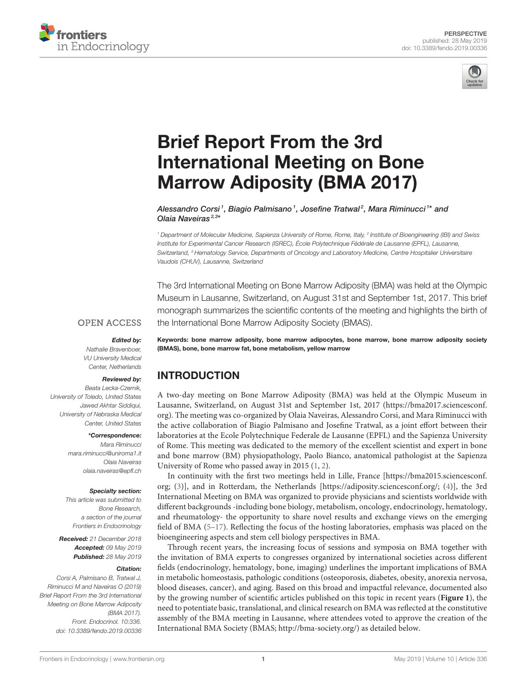



# Brief Report From the 3rd [International Meeting on Bone](https://www.frontiersin.org/articles/10.3389/fendo.2019.00336/full) Marrow Adiposity (BMA 2017)

[Alessandro Corsi](http://loop.frontiersin.org/people/708990/overview)<sup>1</sup>, [Biagio Palmisano](http://loop.frontiersin.org/people/665082/overview)<sup>1</sup>, [Josefine Tratwal](http://loop.frontiersin.org/people/669876/overview)<sup>2</sup>, [Mara Riminucci](http://loop.frontiersin.org/people/643999/overview)1\* and [Olaia Naveiras](http://loop.frontiersin.org/people/328042/overview)<sup>2,3\*</sup>

<sup>1</sup> Department of Molecular Medicine, Sapienza University of Rome, Rome, Italy, <sup>2</sup> Institute of Bioengineering (IBI) and Swiss Institute for Experimental Cancer Research (ISREC), École Polytechnique Fédérale de Lausanne (EPFL), Lausanne, Switzerland, <sup>3</sup> Hematology Service, Departments of Oncology and Laboratory Medicine, Centre Hospitalier Universitaire Vaudois (CHUV), Lausanne, Switzerland

The 3rd International Meeting on Bone Marrow Adiposity (BMA) was held at the Olympic Museum in Lausanne, Switzerland, on August 31st and September 1st, 2017. This brief monograph summarizes the scientific contents of the meeting and highlights the birth of the International Bone Marrow Adiposity Society (BMAS).

#### **OPEN ACCESS**

Edited by:

Nathalie Bravenboer, VU University Medical Center, Netherlands

#### Reviewed by:

Beata Lecka-Czernik, University of Toledo, United States Jawed Akhtar Siddiqui, University of Nebraska Medical Center, United States

#### \*Correspondence:

Mara Riminucci [mara.riminucci@uniroma1.it](mailto:mara.riminucci@uniroma1.it) Olaia Naveiras [olaia.naveiras@epfl.ch](mailto:olaia.naveiras@epfl.ch)

#### Specialty section:

This article was submitted to Bone Research, a section of the journal Frontiers in Endocrinology

Received: 21 December 2018 Accepted: 09 May 2019 Published: 28 May 2019

#### Citation:

Corsi A, Palmisano B, Tratwal J, Riminucci M and Naveiras O (2019) Brief Report From the 3rd International Meeting on Bone Marrow Adiposity (BMA 2017). Front. Endocrinol. 10:336. doi: [10.3389/fendo.2019.00336](https://doi.org/10.3389/fendo.2019.00336)

Keywords: bone marrow adiposity, bone marrow adipocytes, bone marrow, bone marrow adiposity society (BMAS), bone, bone marrow fat, bone metabolism, yellow marrow

### INTRODUCTION

A two-day meeting on Bone Marrow Adiposity (BMA) was held at the Olympic Museum in Lausanne, Switzerland, on August 31st and September 1st, 2017 [\(https://bma2017.sciencesconf.](https://bma2017.sciencesconf.org) [org\)](https://bma2017.sciencesconf.org). The meeting was co-organized by Olaia Naveiras, Alessandro Corsi, and Mara Riminucci with the active collaboration of Biagio Palmisano and Josefine Tratwal, as a joint effort between their laboratories at the Ecole Polytechnique Federale de Lausanne (EPFL) and the Sapienza University of Rome. This meeting was dedicated to the memory of the excellent scientist and expert in bone and bone marrow (BM) physiopathology, Paolo Bianco, anatomical pathologist at the Sapienza University of Rome who passed away in 2015 [\(1,](#page-4-0) [2\)](#page-4-1).

In continuity with the first two meetings held in Lille, France [\[https://bma2015.sciencesconf.](https://bma2015.sciencesconf.org) [org;](https://bma2015.sciencesconf.org) [\(3\)](#page-4-2)], and in Rotterdam, the Netherlands [\[https://adiposity.sciencesconf.org/;](https://adiposity.sciencesconf.org/) [\(4\)](#page-4-3)], the 3rd International Meeting on BMA was organized to provide physicians and scientists worldwide with different backgrounds -including bone biology, metabolism, oncology, endocrinology, hematology, and rheumatology- the opportunity to share novel results and exchange views on the emerging field of BMA [\(5](#page-4-4)[–17\)](#page-4-5). Reflecting the focus of the hosting laboratories, emphasis was placed on the bioengineering aspects and stem cell biology perspectives in BMA.

Through recent years, the increasing focus of sessions and symposia on BMA together with the invitation of BMA experts to congresses organized by international societies across different fields (endocrinology, hematology, bone, imaging) underlines the important implications of BMA in metabolic homeostasis, pathologic conditions (osteoporosis, diabetes, obesity, anorexia nervosa, blood diseases, cancer), and aging. Based on this broad and impactful relevance, documented also by the growing number of scientific articles published on this topic in recent years (**[Figure 1](#page-2-0)**), the need to potentiate basic, translational, and clinical research on BMA was reflected at the constitutive assembly of the BMA meeting in Lausanne, where attendees voted to approve the creation of the International BMA Society (BMAS; [http://bma-society.org/\)](http://bma-society.org/) as detailed below.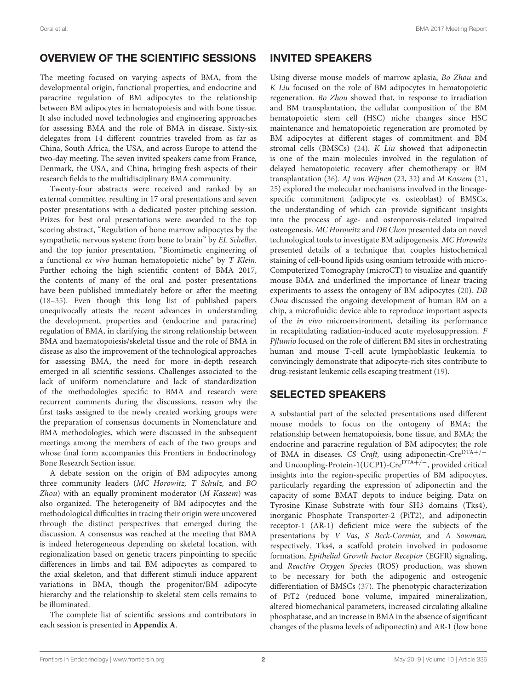# OVERVIEW OF THE SCIENTIFIC SESSIONS

The meeting focused on varying aspects of BMA, from the developmental origin, functional properties, and endocrine and paracrine regulation of BM adipocytes to the relationship between BM adipocytes in hematopoiesis and with bone tissue. It also included novel technologies and engineering approaches for assessing BMA and the role of BMA in disease. Sixty-six delegates from 14 different countries traveled from as far as China, South Africa, the USA, and across Europe to attend the two-day meeting. The seven invited speakers came from France, Denmark, the USA, and China, bringing fresh aspects of their research fields to the multidisciplinary BMA community.

Twenty-four abstracts were received and ranked by an external committee, resulting in 17 oral presentations and seven poster presentations with a dedicated poster pitching session. Prizes for best oral presentations were awarded to the top scoring abstract, "Regulation of bone marrow adipocytes by the sympathetic nervous system: from bone to brain" by EL Scheller, and the top junior presentation, "Biomimetic engineering of a functional ex vivo human hematopoietic niche" by T Klein. Further echoing the high scientific content of BMA 2017, the contents of many of the oral and poster presentations have been published immediately before or after the meeting [\(18](#page-4-6)[–35\)](#page-5-0). Even though this long list of published papers unequivocally attests the recent advances in understanding the development, properties and (endocrine and paracrine) regulation of BMA, in clarifying the strong relationship between BMA and haematopoiesis/skeletal tissue and the role of BMA in disease as also the improvement of the technological approaches for assessing BMA, the need for more in-depth research emerged in all scientific sessions. Challenges associated to the lack of uniform nomenclature and lack of standardization of the methodologies specific to BMA and research were recurrent comments during the discussions, reason why the first tasks assigned to the newly created working groups were the preparation of consensus documents in Nomenclature and BMA methodologies, which were discussed in the subsequent meetings among the members of each of the two groups and whose final form accompanies this Frontiers in Endocrinology Bone Research Section issue.

A debate session on the origin of BM adipocytes among three community leaders (MC Horowitz, T Schulz, and BO Zhou) with an equally prominent moderator (M Kassem) was also organized. The heterogeneity of BM adipocytes and the methodological difficulties in tracing their origin were uncovered through the distinct perspectives that emerged during the discussion. A consensus was reached at the meeting that BMA is indeed heterogeneous depending on skeletal location, with regionalization based on genetic tracers pinpointing to specific differences in limbs and tail BM adipocytes as compared to the axial skeleton, and that different stimuli induce apparent variations in BMA, though the progenitor/BM adipocyte hierarchy and the relationship to skeletal stem cells remains to be illuminated.

The complete list of scientific sessions and contributors in each session is presented in **[Appendix A](#page-4-7)**.

## INVITED SPEAKERS

Using diverse mouse models of marrow aplasia, Bo Zhou and K Liu focused on the role of BM adipocytes in hematopoietic regeneration. Bo Zhou showed that, in response to irradiation and BM transplantation, the cellular composition of the BM hematopoietic stem cell (HSC) niche changes since HSC maintenance and hematopoietic regeneration are promoted by BM adipocytes at different stages of commitment and BM stromal cells (BMSCs) [\(24\)](#page-5-1). K Liu showed that adiponectin is one of the main molecules involved in the regulation of delayed hematopoietic recovery after chemotherapy or BM transplantation [\(36\)](#page-5-2). AJ van Wijnen [\(23,](#page-5-3) [32\)](#page-5-4) and M Kassem [\(21,](#page-4-8) [25\)](#page-5-5) explored the molecular mechanisms involved in the lineagespecific commitment (adipocyte vs. osteoblast) of BMSCs, the understanding of which can provide significant insights into the process of age- and osteoporosis-related impaired osteogenesis. MC Horowitz and DB Chou presented data on novel technological tools to investigate BM adipogenesis. MC Horowitz presented details of a technique that couples histochemical staining of cell-bound lipids using osmium tetroxide with micro-Computerized Tomography (microCT) to visualize and quantify mouse BMA and underlined the importance of linear tracing experiments to assess the ontogeny of BM adipocytes [\(20\)](#page-4-9). DB Chou discussed the ongoing development of human BM on a chip, a microfluidic device able to reproduce important aspects of the in vivo microenvironment, detailing its performance in recapitulating radiation-induced acute myelosuppression. F Pflumio focused on the role of different BM sites in orchestrating human and mouse T-cell acute lymphoblastic leukemia to convincingly demonstrate that adipocyte-rich sites contribute to drug-resistant leukemic cells escaping treatment [\(19\)](#page-4-10).

# SELECTED SPEAKERS

A substantial part of the selected presentations used different mouse models to focus on the ontogeny of BMA; the relationship between hematopoiesis, bone tissue, and BMA; the endocrine and paracrine regulation of BM adipocytes; the role of BMA in diseases. CS Craft, using adiponectin-CreDTA+/<sup>−</sup> and Uncoupling-Protein-1(UCP1)-CreDTA+/<sup>-</sup>, provided critical insights into the region-specific properties of BM adipocytes, particularly regarding the expression of adiponectin and the capacity of some BMAT depots to induce beiging. Data on Tyrosine Kinase Substrate with four SH3 domains (Tks4), inorganic Phosphate Transporter-2 (PiT2), and adiponectin receptor-1 (AR-1) deficient mice were the subjects of the presentations by V Vas, S Beck-Cormier, and A Sowman, respectively. Tks4, a scaffold protein involved in podosome formation, Epithelial Growth Factor Receptor (EGFR) signaling, and Reactive Oxygen Species (ROS) production, was shown to be necessary for both the adipogenic and osteogenic differentiation of BMSCs [\(37\)](#page-5-6). The phenotypic characterization of PiT2 (reduced bone volume, impaired mineralization, altered biomechanical parameters, increased circulating alkaline phosphatase, and an increase in BMA in the absence of significant changes of the plasma levels of adiponectin) and AR-1 (low bone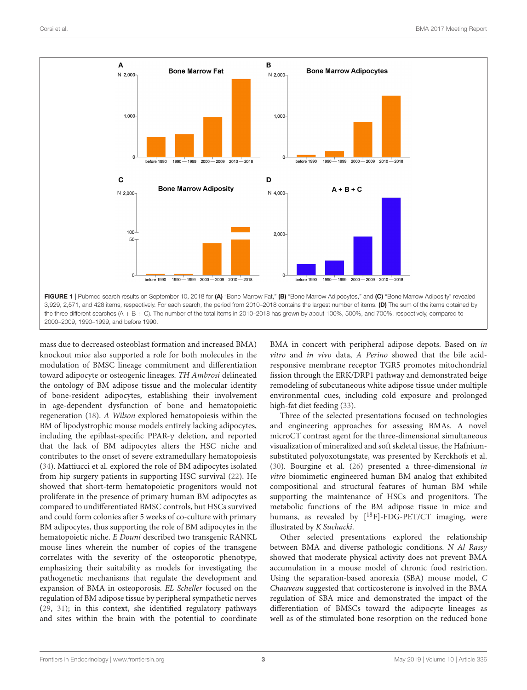

<span id="page-2-0"></span>mass due to decreased osteoblast formation and increased BMA) knockout mice also supported a role for both molecules in the modulation of BMSC lineage commitment and differentiation toward adipocyte or osteogenic lineages. TH Ambrosi delineated the ontology of BM adipose tissue and the molecular identity of bone-resident adipocytes, establishing their involvement in age-dependent dysfunction of bone and hematopoietic regeneration [\(18\)](#page-4-6). A Wilson explored hematopoiesis within the BM of lipodystrophic mouse models entirely lacking adipocytes, including the epiblast-specific PPAR-γ deletion, and reported that the lack of BM adipocytes alters the HSC niche and contributes to the onset of severe extramedullary hematopoiesis [\(34\)](#page-5-7). Mattiucci et al. explored the role of BM adipocytes isolated from hip surgery patients in supporting HSC survival [\(22\)](#page-5-8). He showed that short-term hematopoietic progenitors would not proliferate in the presence of primary human BM adipocytes as compared to undifferentiated BMSC controls, but HSCs survived and could form colonies after 5 weeks of co-culture with primary BM adipocytes, thus supporting the role of BM adipocytes in the hematopoietic niche. E Douni described two transgenic RANKL mouse lines wherein the number of copies of the transgene correlates with the severity of the osteoporotic phenotype, emphasizing their suitability as models for investigating the pathogenetic mechanisms that regulate the development and expansion of BMA in osteoporosis. EL Scheller focused on the regulation of BM adipose tissue by peripheral sympathetic nerves [\(29,](#page-5-9) [31\)](#page-5-10); in this context, she identified regulatory pathways and sites within the brain with the potential to coordinate

BMA in concert with peripheral adipose depots. Based on in vitro and in vivo data, A Perino showed that the bile acidresponsive membrane receptor TGR5 promotes mitochondrial fission through the ERK/DRP1 pathway and demonstrated beige remodeling of subcutaneous white adipose tissue under multiple environmental cues, including cold exposure and prolonged high-fat diet feeding [\(33\)](#page-5-11).

Three of the selected presentations focused on technologies and engineering approaches for assessing BMAs. A novel microCT contrast agent for the three-dimensional simultaneous visualization of mineralized and soft skeletal tissue, the Hafniumsubstituted polyoxotungstate, was presented by Kerckhofs et al. [\(30\)](#page-5-12). Bourgine et al. [\(26\)](#page-5-13) presented a three-dimensional in vitro biomimetic engineered human BM analog that exhibited compositional and structural features of human BM while supporting the maintenance of HSCs and progenitors. The metabolic functions of the BM adipose tissue in mice and humans, as revealed by  $[{}^{18}F]$ -FDG-PET/CT imaging, were illustrated by K Suchacki.

Other selected presentations explored the relationship between BMA and diverse pathologic conditions. N Al Rassy showed that moderate physical activity does not prevent BMA accumulation in a mouse model of chronic food restriction. Using the separation-based anorexia (SBA) mouse model, C Chauveau suggested that corticosterone is involved in the BMA regulation of SBA mice and demonstrated the impact of the differentiation of BMSCs toward the adipocyte lineages as well as of the stimulated bone resorption on the reduced bone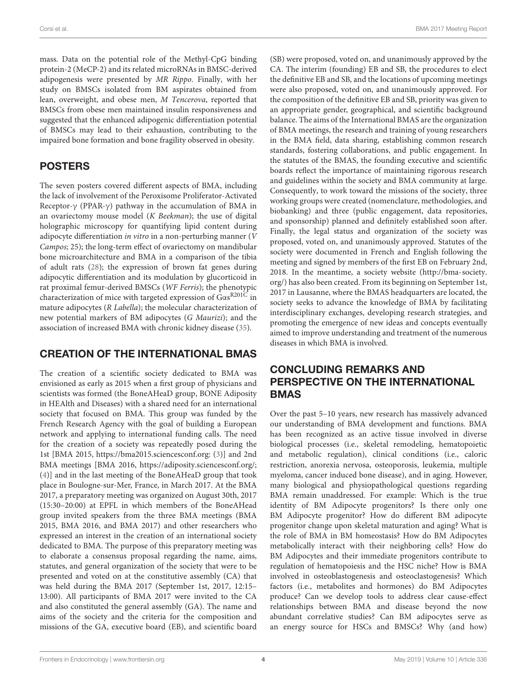Corsi et al. BMA 2017 Meeting Report

mass. Data on the potential role of the Methyl-CpG binding protein-2 (MeCP-2) and its related microRNAs in BMSC-derived adipogenesis were presented by MR Rippo. Finally, with her study on BMSCs isolated from BM aspirates obtained from lean, overweight, and obese men, M Tencerova, reported that BMSCs from obese men maintained insulin responsiveness and suggested that the enhanced adipogenic differentiation potential of BMSCs may lead to their exhaustion, contributing to the impaired bone formation and bone fragility observed in obesity.

# POSTERS

The seven posters covered different aspects of BMA, including the lack of involvement of the Peroxisome Proliferator-Activated Receptor-γ (PPAR-γ) pathway in the accumulation of BMA in an ovariectomy mouse model (K Beekman); the use of digital holographic microscopy for quantifying lipid content during adipocyte differentiation in vitro in a non-perturbing manner (V Campos; 25); the long-term effect of ovariectomy on mandibular bone microarchitecture and BMA in a comparison of the tibia of adult rats [\(28\)](#page-5-14); the expression of brown fat genes during adipocytic differentiation and its modulation by glucorticoid in rat proximal femur-derived BMSCs (WF Ferris); the phenotypic characterization of mice with targeted expression of Gαs R201C in mature adipocytes (R Labella); the molecular characterization of new potential markers of BM adipocytes (G Maurizi); and the association of increased BMA with chronic kidney disease [\(35\)](#page-5-0).

# CREATION OF THE INTERNATIONAL BMAS

The creation of a scientific society dedicated to BMA was envisioned as early as 2015 when a first group of physicians and scientists was formed (the BoneAHeaD group, BONE Adiposity in HEAlth and Diseases) with a shared need for an international society that focused on BMA. This group was funded by the French Research Agency with the goal of building a European network and applying to international funding calls. The need for the creation of a society was repeatedly posed during the 1st [BMA 2015,<https://bma2015.sciencesconf.org:> [\(3\)](#page-4-2)] and 2nd BMA meetings [BMA 2016, [https://adiposity.sciencesconf.org/;](https://adiposity.sciencesconf.org/) [\(4\)](#page-4-3)] and in the last meeting of the BoneAHeaD group that took place in Boulogne-sur-Mer, France, in March 2017. At the BMA 2017, a preparatory meeting was organized on August 30th, 2017 (15:30–20:00) at EPFL in which members of the BoneAHead group invited speakers from the three BMA meetings (BMA 2015, BMA 2016, and BMA 2017) and other researchers who expressed an interest in the creation of an international society dedicated to BMA. The purpose of this preparatory meeting was to elaborate a consensus proposal regarding the name, aims, statutes, and general organization of the society that were to be presented and voted on at the constitutive assembly (CA) that was held during the BMA 2017 (September 1st, 2017, 12:15– 13:00). All participants of BMA 2017 were invited to the CA and also constituted the general assembly (GA). The name and aims of the society and the criteria for the composition and missions of the GA, executive board (EB), and scientific board (SB) were proposed, voted on, and unanimously approved by the CA. The interim (founding) EB and SB, the procedures to elect the definitive EB and SB, and the locations of upcoming meetings were also proposed, voted on, and unanimously approved. For the composition of the definitive EB and SB, priority was given to an appropriate gender, geographical, and scientific background balance. The aims of the International BMAS are the organization of BMA meetings, the research and training of young researchers in the BMA field, data sharing, establishing common research standards, fostering collaborations, and public engagement. In the statutes of the BMAS, the founding executive and scientific boards reflect the importance of maintaining rigorous research and guidelines within the society and BMA community at large. Consequently, to work toward the missions of the society, three working groups were created (nomenclature, methodologies, and biobanking) and three (public engagement, data repositories, and sponsorship) planned and definitely established soon after. Finally, the legal status and organization of the society was proposed, voted on, and unanimously approved. Statutes of the society were documented in French and English following the meeting and signed by members of the first EB on February 2nd, 2018. In the meantime, a society website [\(http://bma-society.](http://bma-society.org/) [org/\)](http://bma-society.org/) has also been created. From its beginning on September 1st, 2017 in Lausanne, where the BMAS headquarters are located, the society seeks to advance the knowledge of BMA by facilitating interdisciplinary exchanges, developing research strategies, and promoting the emergence of new ideas and concepts eventually aimed to improve understanding and treatment of the numerous diseases in which BMA is involved.

# CONCLUDING REMARKS AND PERSPECTIVE ON THE INTERNATIONAL **BMAS**

Over the past 5–10 years, new research has massively advanced our understanding of BMA development and functions. BMA has been recognized as an active tissue involved in diverse biological processes (i.e., skeletal remodeling, hematopoietic and metabolic regulation), clinical conditions (i.e., caloric restriction, anorexia nervosa, osteoporosis, leukemia, multiple myeloma, cancer induced bone disease), and in aging. However, many biological and physiopathological questions regarding BMA remain unaddressed. For example: Which is the true identity of BM Adipocyte progenitors? Is there only one BM Adipocyte progenitor? How do different BM adipocyte progenitor change upon skeletal maturation and aging? What is the role of BMA in BM homeostasis? How do BM Adipocytes metabolically interact with their neighboring cells? How do BM Adipocytes and their immediate progenitors contribute to regulation of hematopoiesis and the HSC niche? How is BMA involved in osteoblastogenesis and osteoclastogenesis? Which factors (i.e., metabolites and hormones) do BM Adipocytes produce? Can we develop tools to address clear cause-effect relationships between BMA and disease beyond the now abundant correlative studies? Can BM adipocytes serve as an energy source for HSCs and BMSCs? Why (and how)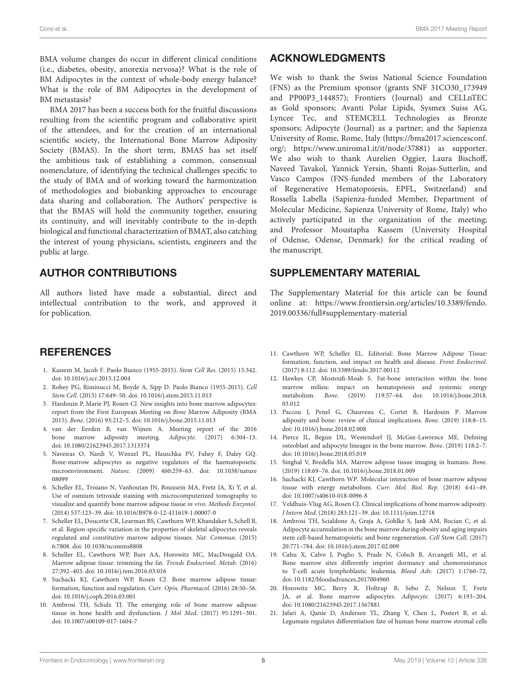BMA volume changes do occur in different clinical conditions (i.e., diabetes, obesity, anorexia nervosa)? What is the role of BM Adipocytes in the context of whole-body energy balance? What is the role of BM Adipocytes in the development of BM metastasis?

BMA 2017 has been a success both for the fruitful discussions resulting from the scientific program and collaborative spirit of the attendees, and for the creation of an international scientific society, the International Bone Marrow Adiposity Society (BMAS). In the short term, BMAS has set itself the ambitious task of establishing a common, consensual nomenclature, of identifying the technical challenges specific to the study of BMA and of working toward the harmonization of methodologies and biobanking approaches to encourage data sharing and collaboration. The Authors' perspective is that the BMAS will hold the community together, ensuring its continuity, and will inevitably contribute to the in-depth biological and functional characterization of BMAT, also catching the interest of young physicians, scientists, engineers and the public at large.

### AUTHOR CONTRIBUTIONS

All authors listed have made a substantial, direct and intellectual contribution to the work, and approved it for publication.

### **REFERENCES**

- <span id="page-4-0"></span>1. Kassem M, Jacob F. Paolo Bianco (1955-2015). Stem Cell Res. (2015) 15:342. doi: [10.1016/j.scr.2015.12.004](https://doi.org/10.1016/j.scr.2015.12.004)
- <span id="page-4-1"></span>2. Robey PG, Riminucci M, Boyde A, Sipp D. Paolo Bianco (1955-2015). Cell Stem Cell. (2015) 17:649–50. doi: [10.1016/j.stem.2015.11.013](https://doi.org/10.1016/j.stem.2015.11.013)
- <span id="page-4-2"></span>3. Hardouin P, Marie PJ, Rosen CJ. New insights into bone marrow adipocytes: report from the First European Meeting on Bone Marrow Adiposity (BMA 2015). Bone. (2016) 93:212–5. doi: [10.1016/j.bone.2015.11.013](https://doi.org/10.1016/j.bone.2015.11.013)
- <span id="page-4-3"></span>4. van der Eerden B, van Wijnen A. Meeting report of the 2016 bone marrow adiposity meeting. Adipocyte. (2017) 6:304–13. doi: [10.1080/21623945.2017.1313374](https://doi.org/10.1080/21623945.2017.1313374)
- <span id="page-4-4"></span>5. Naveiras O, Nardi V, Wenzel PL, Hauschka PV, Fahey F, Daley GQ. Bone-marrow adipocytes as negative regulators of the haematopoietic microenvironment. Nature[. \(2009\) 460:259–63. doi: 10.1038/nature](https://doi.org/10.1038/nature08099) 08099
- 6. Scheller EL, Troiano N, Vanhoutan JN, Bouxsein MA, Fretz JA, Xi Y, et al. Use of osmium tetroxide staining with microcomputerized tomography to visualize and quantify bone marrow adipose tissue in vivo. Methods Enzymol. (2014) 537:123–39. doi: [10.1016/B978-0-12-411619-1.00007-0](https://doi.org/10.1016/B978-0-12-411619-1.00007-0)
- 7. Scheller EL, Doucette CR, Learman BS, Cawthorn WP, Khandaker S, Schell B, et al. Region-specific variation in the properties of skeletal adipocytes reveals regulated and constitutive marrow adipose tissues. Nat. Commun. (2015) 6:7808. doi: [10.1038/ncomms8808](https://doi.org/10.1038/ncomms8808)
- 8. Scheller EL, Cawthorn WP, Burr AA, Horowitz MC, MacDougald OA. Marrow adipose tissue: trimming the fat. Trends Endocrinol. Metab. (2016) 27:392–403. doi: [10.1016/j.tem.2016.03.016](https://doi.org/10.1016/j.tem.2016.03.016)
- 9. Suchacki KJ, Cawthorn WP, Rosen CJ. Bone marrow adipose tissue: formation, function and regulation. Curr. Opin. Pharmacol. (2016) 28:50–56. doi: [10.1016/j.coph.2016.03.001](https://doi.org/10.1016/j.coph.2016.03.001)
- 10. Ambrosi TH, Schulz TJ. The emerging role of bone marrow adipose tissue in bone health and dysfunction. J Mol Med. (2017) 95:1291–301. doi: [10.1007/s00109-017-1604-7](https://doi.org/10.1007/s00109-017-1604-7)

### ACKNOWLEDGMENTS

We wish to thank the Swiss National Science Foundation (FNS) as the Premium sponsor (grants SNF 31CO30\_173949 and PP00P3\_144857); Frontiers (Journal) and CELLnTEC as Gold sponsors; Avanti Polar Lipids, Sysmex Suiss AG, Lyncee Tec, and STEMCELL Technologies as Bronze sponsors; Adipocyte (Journal) as a partner; and the Sapienza University of Rome, Rome, Italy [\(https://bma2017.sciencesconf.](https://bma2017.sciencesconf.org/) [org/;](https://bma2017.sciencesconf.org/) [https://www.uniroma1.it/it/node/37881\)](https://www.uniroma1.it/it/node/37881) as supporter. We also wish to thank Aurelien Oggier, Laura Bischoff, Naveed Tavakol, Yannick Yersin, Shanti Rojas-Sutterlin, and Vasco Campos (FNS-funded members of the Laboratory of Regenerative Hematopoiesis, EPFL, Switzerland) and Rossella Labella (Sapienza-funded Member, Department of Molecular Medicine, Sapienza University of Rome, Italy) who actively participated in the organization of the meeting; and Professor Moustapha Kassem (University Hospital of Odense, Odense, Denmark) for the critical reading of the manuscript.

### SUPPLEMENTARY MATERIAL

<span id="page-4-7"></span>The Supplementary Material for this article can be found [online at: https://www.frontiersin.org/articles/10.3389/fendo.](https://www.frontiersin.org/articles/10.3389/fendo.2019.00336/full#supplementary-material) 2019.00336/full#supplementary-material

- 11. Cawthorn WP, Scheller EL. Editorial: Bone Marrow Adipose Tissue: formation, function, and impact on health and disease. Front Endocrinol. (2017) 8:112. doi: [10.3389/fendo.2017.00112](https://doi.org/10.3389/fendo.2017.00112)
- 12. Hawkes CP, Mostoufi-Moab S. Fat-bone interaction within the bone marrow milieu: impact on hematopoiesis and systemic energy metabolism. Bone[. \(2019\) 119:57–64. doi: 10.1016/j.bone.2018.](https://doi.org/10.1016/j.bone.2018.03.012) 03.012
- 13. Paccou J, Penel G, Chauveau C, Cortet B, Hardouin P. Marrow adiposity and bone: review of clinical implications. Bone. (2019) 118:8–15. doi: [10.1016/j.bone.2018.02.008](https://doi.org/10.1016/j.bone.2018.02.008)
- 14. Pierce JL, Begun DL, Westendorf JJ, McGee-Lawrence ME. Defining osteoblast and adipocyte lineages in the bone marrow. Bone. (2019) 118:2–7. doi: [10.1016/j.bone.2018.05.019](https://doi.org/10.1016/j.bone.2018.05.019)
- 15. Singhal V, Bredella MA. Marrow adipose tissue imaging in humans. Bone. (2019) 118:69–76. doi: [10.1016/j.bone.2018.01.009](https://doi.org/10.1016/j.bone.2018.01.009)
- 16. Suchacki KJ, Cawthorn WP. Molecular interaction of bone marrow adipose tissue with energy metabolism. Curr. Mol. Biol. Rep. (2018) 4:41–49. doi: [10.1007/s40610-018-0096-8](https://doi.org/10.1007/s40610-018-0096-8)
- <span id="page-4-5"></span>17. Veldhuis-Vlug AG, Rosen CJ. Clinical implications of bone marrow adiposity. J Intern Med. (2018) 283:121–39. doi: [10.1111/joim.12718](https://doi.org/10.1111/joim.12718)
- <span id="page-4-6"></span>18. Ambrosi TH, Scialdone A, Graja A, Gohlke S, Jank AM, Bocian C, et al. Adipocyte accumulation in the bone marrow during obesity and aging impairs stem cell-based hematopoietic and bone regeneration. Cell Stem Cell. (2017) 20:771–784. doi: [10.1016/j.stem.2017.02.009](https://doi.org/10.1016/j.stem.2017.02.009)
- <span id="page-4-10"></span>19. Cahu X, Calvo J, Poglio S, Prade N, Colsch B, Arcangeli ML, et al. Bone marrow sites differently imprint dormancy and chemoresistance to T-cell acute lymphoblastic leukemia. Blood Adv. (2017) 1:1760–72. doi: [10.1182/bloodadvances.2017004960](https://doi.org/10.1182/bloodadvances.2017004960)
- <span id="page-4-9"></span>20. Horowitz MC, Berry R, Holtrup B, Sebo Z, Nelson T, Fretz JA, et al. Bone marrow adipocytes. Adipocyte. (2017) 6:193–204. doi: [10.1080/21623945.2017.1367881](https://doi.org/10.1080/21623945.2017.1367881)
- <span id="page-4-8"></span>21. Jafari A, Qanie D, Andersen TL, Zhang Y, Chen L, Postert B, et al. Legumain regulates differentiation fate of human bone marrow stromal cells